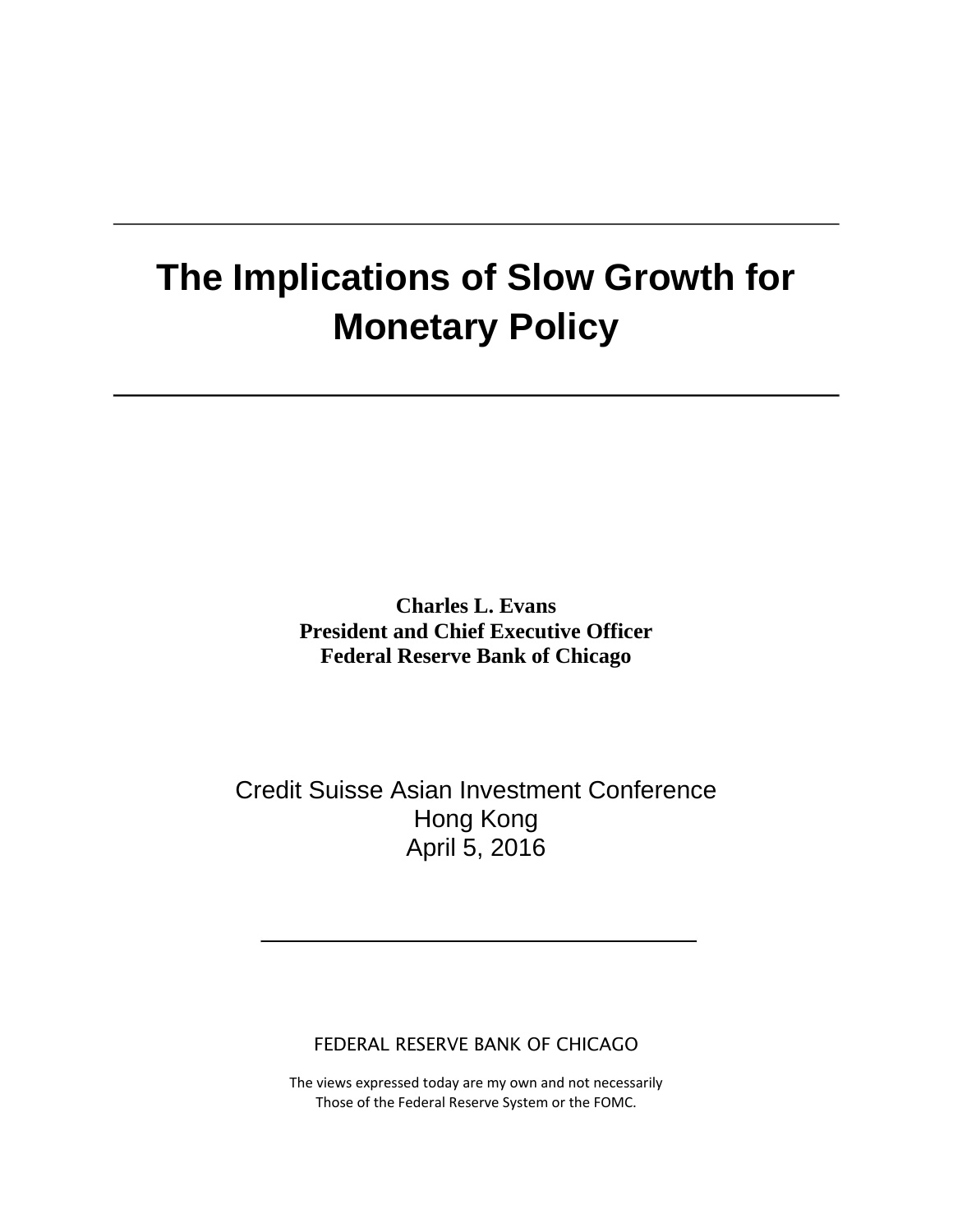# **The Implications of Slow Growth for Monetary Policy**

**Charles L. Evans President and Chief Executive Officer Federal Reserve Bank of Chicago**

Credit Suisse Asian Investment Conference Hong Kong April 5, 2016

FEDERAL RESERVE BANK OF CHICAGO

The views expressed today are my own and not necessarily Those of the Federal Reserve System or the FOMC.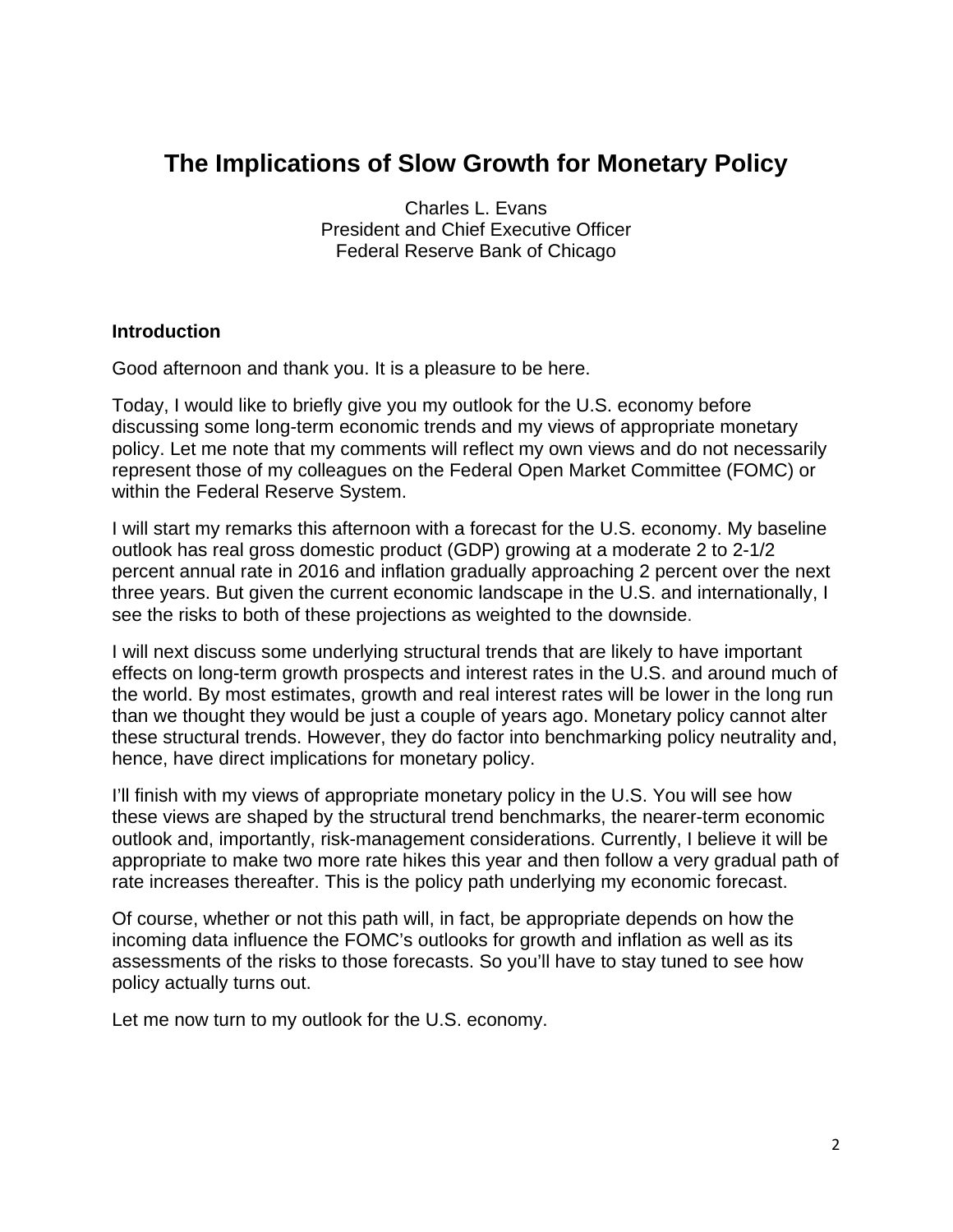### **The Implications of Slow Growth for Monetary Policy**

Charles L. Evans President and Chief Executive Officer Federal Reserve Bank of Chicago

#### **Introduction**

Good afternoon and thank you. It is a pleasure to be here.

Today, I would like to briefly give you my outlook for the U.S. economy before discussing some long-term economic trends and my views of appropriate monetary policy. Let me note that my comments will reflect my own views and do not necessarily represent those of my colleagues on the Federal Open Market Committee (FOMC) or within the Federal Reserve System.

I will start my remarks this afternoon with a forecast for the U.S. economy. My baseline outlook has real gross domestic product (GDP) growing at a moderate 2 to 2-1/2 percent annual rate in 2016 and inflation gradually approaching 2 percent over the next three years. But given the current economic landscape in the U.S. and internationally, I see the risks to both of these projections as weighted to the downside.

I will next discuss some underlying structural trends that are likely to have important effects on long-term growth prospects and interest rates in the U.S. and around much of the world. By most estimates, growth and real interest rates will be lower in the long run than we thought they would be just a couple of years ago. Monetary policy cannot alter these structural trends. However, they do factor into benchmarking policy neutrality and, hence, have direct implications for monetary policy.

I'll finish with my views of appropriate monetary policy in the U.S. You will see how these views are shaped by the structural trend benchmarks, the nearer-term economic outlook and, importantly, risk-management considerations. Currently, I believe it will be appropriate to make two more rate hikes this year and then follow a very gradual path of rate increases thereafter. This is the policy path underlying my economic forecast.

Of course, whether or not this path will, in fact, be appropriate depends on how the incoming data influence the FOMC's outlooks for growth and inflation as well as its assessments of the risks to those forecasts. So you'll have to stay tuned to see how policy actually turns out.

Let me now turn to my outlook for the U.S. economy.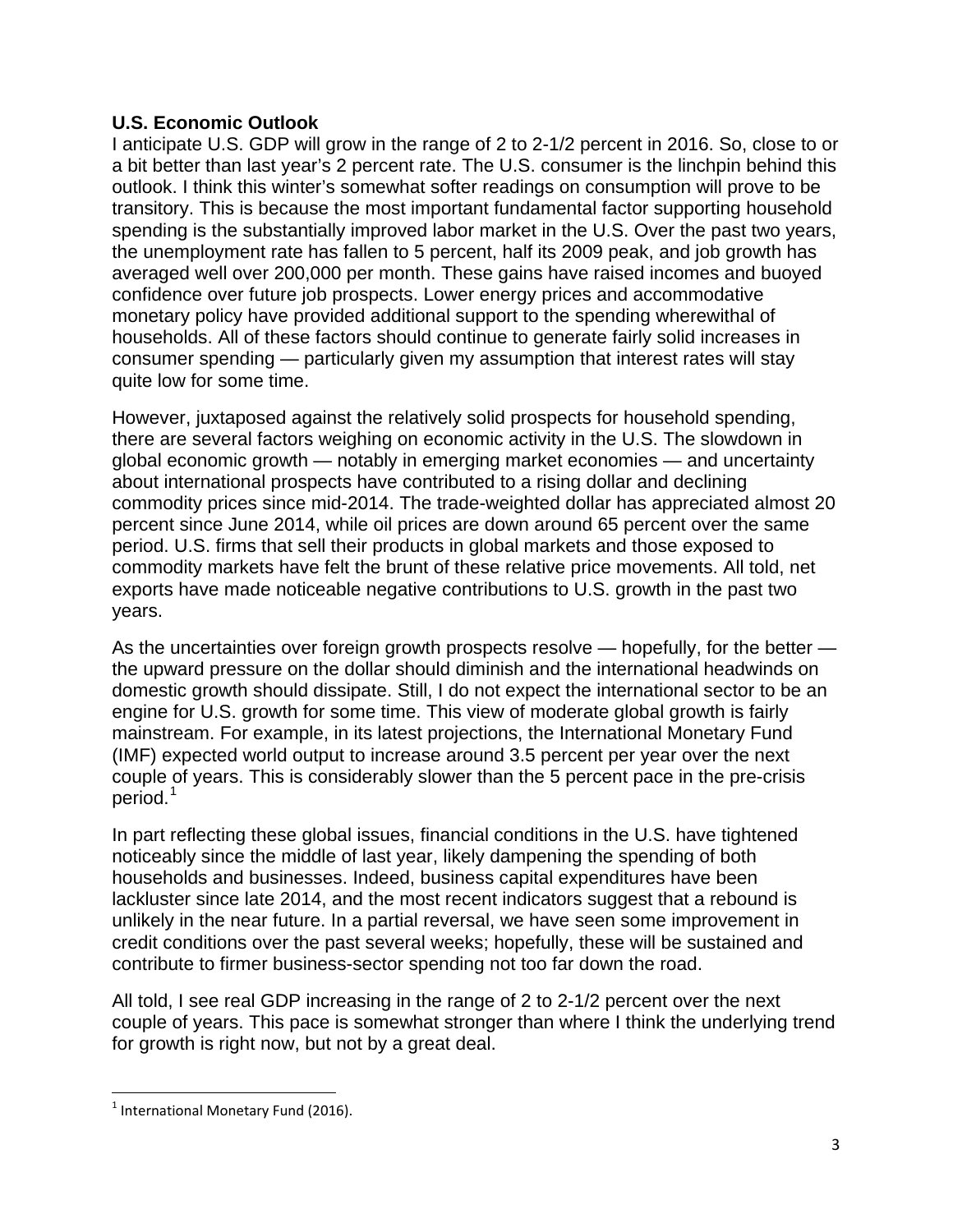#### **U.S. Economic Outlook**

I anticipate U.S. GDP will grow in the range of 2 to 2-1/2 percent in 2016. So, close to or a bit better than last year's 2 percent rate. The U.S. consumer is the linchpin behind this outlook. I think this winter's somewhat softer readings on consumption will prove to be transitory. This is because the most important fundamental factor supporting household spending is the substantially improved labor market in the U.S. Over the past two years, the unemployment rate has fallen to 5 percent, half its 2009 peak, and job growth has averaged well over 200,000 per month. These gains have raised incomes and buoyed confidence over future job prospects. Lower energy prices and accommodative monetary policy have provided additional support to the spending wherewithal of households. All of these factors should continue to generate fairly solid increases in consumer spending — particularly given my assumption that interest rates will stay quite low for some time.

However, juxtaposed against the relatively solid prospects for household spending, there are several factors weighing on economic activity in the U.S. The slowdown in global economic growth — notably in emerging market economies — and uncertainty about international prospects have contributed to a rising dollar and declining commodity prices since mid-2014. The trade-weighted dollar has appreciated almost 20 percent since June 2014, while oil prices are down around 65 percent over the same period. U.S. firms that sell their products in global markets and those exposed to commodity markets have felt the brunt of these relative price movements. All told, net exports have made noticeable negative contributions to U.S. growth in the past two years.

As the uncertainties over foreign growth prospects resolve — hopefully, for the better the upward pressure on the dollar should diminish and the international headwinds on domestic growth should dissipate. Still, I do not expect the international sector to be an engine for U.S. growth for some time. This view of moderate global growth is fairly mainstream. For example, in its latest projections, the International Monetary Fund (IMF) expected world output to increase around 3.5 percent per year over the next couple of years. This is considerably slower than the 5 percent pace in the pre-crisis period.<sup>[1](#page-2-0)</sup>

In part reflecting these global issues, financial conditions in the U.S. have tightened noticeably since the middle of last year, likely dampening the spending of both households and businesses. Indeed, business capital expenditures have been lackluster since late 2014, and the most recent indicators suggest that a rebound is unlikely in the near future. In a partial reversal, we have seen some improvement in credit conditions over the past several weeks; hopefully, these will be sustained and contribute to firmer business-sector spending not too far down the road.

All told, I see real GDP increasing in the range of 2 to 2-1/2 percent over the next couple of years. This pace is somewhat stronger than where I think the underlying trend for growth is right now, but not by a great deal.

<span id="page-2-0"></span> $<sup>1</sup>$  International Monetary Fund (2016).</sup>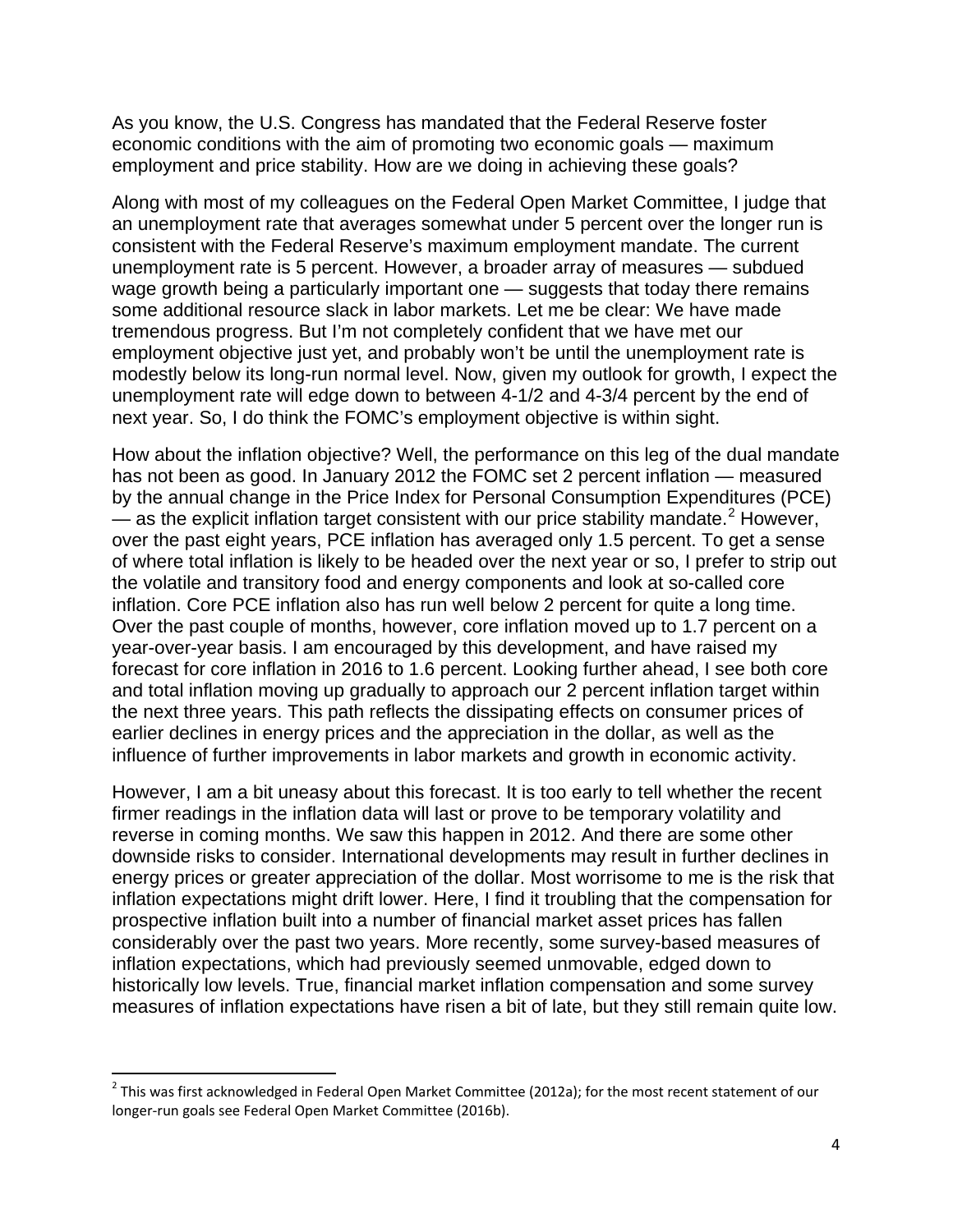As you know, the U.S. Congress has mandated that the Federal Reserve foster economic conditions with the aim of promoting two economic goals — maximum employment and price stability. How are we doing in achieving these goals?

Along with most of my colleagues on the Federal Open Market Committee, I judge that an unemployment rate that averages somewhat under 5 percent over the longer run is consistent with the Federal Reserve's maximum employment mandate. The current unemployment rate is 5 percent. However, a broader array of measures — subdued wage growth being a particularly important one — suggests that today there remains some additional resource slack in labor markets. Let me be clear: We have made tremendous progress. But I'm not completely confident that we have met our employment objective just yet, and probably won't be until the unemployment rate is modestly below its long-run normal level. Now, given my outlook for growth, I expect the unemployment rate will edge down to between 4-1/2 and 4-3/4 percent by the end of next year. So, I do think the FOMC's employment objective is within sight.

How about the inflation objective? Well, the performance on this leg of the dual mandate has not been as good. In January 2012 the FOMC set 2 percent inflation — measured by the annual change in the Price Index for Personal Consumption Expenditures (PCE) — as the explicit inflation target consistent with our price stability mandate.<sup>[2](#page-3-0)</sup> However, over the past eight years, PCE inflation has averaged only 1.5 percent. To get a sense of where total inflation is likely to be headed over the next year or so, I prefer to strip out the volatile and transitory food and energy components and look at so-called core inflation. Core PCE inflation also has run well below 2 percent for quite a long time. Over the past couple of months, however, core inflation moved up to 1.7 percent on a year-over-year basis. I am encouraged by this development, and have raised my forecast for core inflation in 2016 to 1.6 percent. Looking further ahead, I see both core and total inflation moving up gradually to approach our 2 percent inflation target within the next three years. This path reflects the dissipating effects on consumer prices of earlier declines in energy prices and the appreciation in the dollar, as well as the influence of further improvements in labor markets and growth in economic activity.

However, I am a bit uneasy about this forecast. It is too early to tell whether the recent firmer readings in the inflation data will last or prove to be temporary volatility and reverse in coming months. We saw this happen in 2012. And there are some other downside risks to consider. International developments may result in further declines in energy prices or greater appreciation of the dollar. Most worrisome to me is the risk that inflation expectations might drift lower. Here, I find it troubling that the compensation for prospective inflation built into a number of financial market asset prices has fallen considerably over the past two years. More recently, some survey-based measures of inflation expectations, which had previously seemed unmovable, edged down to historically low levels. True, financial market inflation compensation and some survey measures of inflation expectations have risen a bit of late, but they still remain quite low.

<span id="page-3-0"></span> $2$  This was first acknowledged in Federal Open Market Committee (2012a); for the most recent statement of our longer-run goals see Federal Open Market Committee (2016b).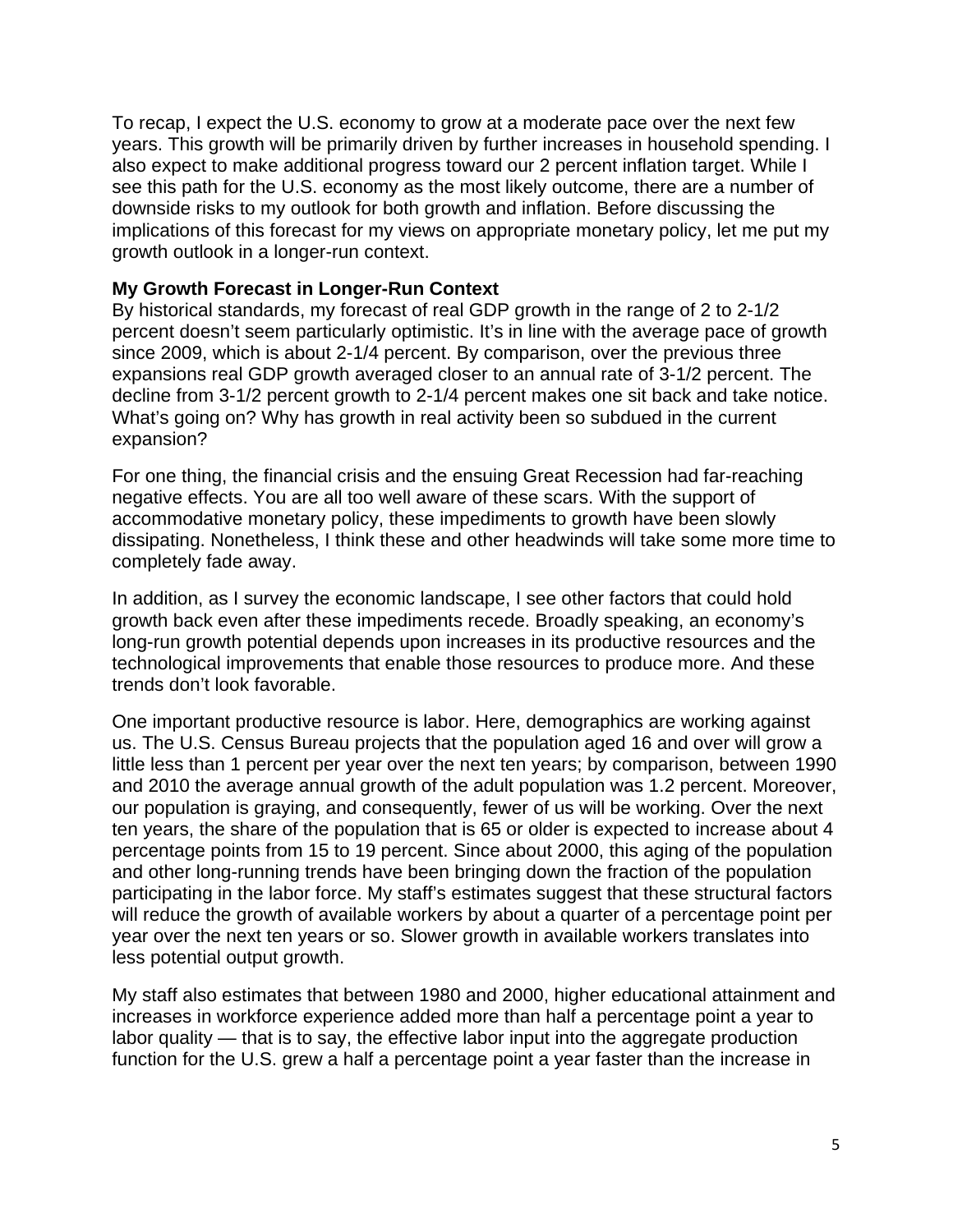To recap, I expect the U.S. economy to grow at a moderate pace over the next few years. This growth will be primarily driven by further increases in household spending. I also expect to make additional progress toward our 2 percent inflation target. While I see this path for the U.S. economy as the most likely outcome, there are a number of downside risks to my outlook for both growth and inflation. Before discussing the implications of this forecast for my views on appropriate monetary policy, let me put my growth outlook in a longer-run context.

#### **My Growth Forecast in Longer-Run Context**

By historical standards, my forecast of real GDP growth in the range of 2 to 2-1/2 percent doesn't seem particularly optimistic. It's in line with the average pace of growth since 2009, which is about 2-1/4 percent. By comparison, over the previous three expansions real GDP growth averaged closer to an annual rate of 3-1/2 percent. The decline from 3-1/2 percent growth to 2-1/4 percent makes one sit back and take notice. What's going on? Why has growth in real activity been so subdued in the current expansion?

For one thing, the financial crisis and the ensuing Great Recession had far-reaching negative effects. You are all too well aware of these scars. With the support of accommodative monetary policy, these impediments to growth have been slowly dissipating. Nonetheless, I think these and other headwinds will take some more time to completely fade away.

In addition, as I survey the economic landscape, I see other factors that could hold growth back even after these impediments recede. Broadly speaking, an economy's long-run growth potential depends upon increases in its productive resources and the technological improvements that enable those resources to produce more. And these trends don't look favorable.

One important productive resource is labor. Here, demographics are working against us. The U.S. Census Bureau projects that the population aged 16 and over will grow a little less than 1 percent per year over the next ten years; by comparison, between 1990 and 2010 the average annual growth of the adult population was 1.2 percent. Moreover, our population is graying, and consequently, fewer of us will be working. Over the next ten years, the share of the population that is 65 or older is expected to increase about 4 percentage points from 15 to 19 percent. Since about 2000, this aging of the population and other long-running trends have been bringing down the fraction of the population participating in the labor force. My staff's estimates suggest that these structural factors will reduce the growth of available workers by about a quarter of a percentage point per year over the next ten years or so. Slower growth in available workers translates into less potential output growth.

My staff also estimates that between 1980 and 2000, higher educational attainment and increases in workforce experience added more than half a percentage point a year to labor quality — that is to say, the effective labor input into the aggregate production function for the U.S. grew a half a percentage point a year faster than the increase in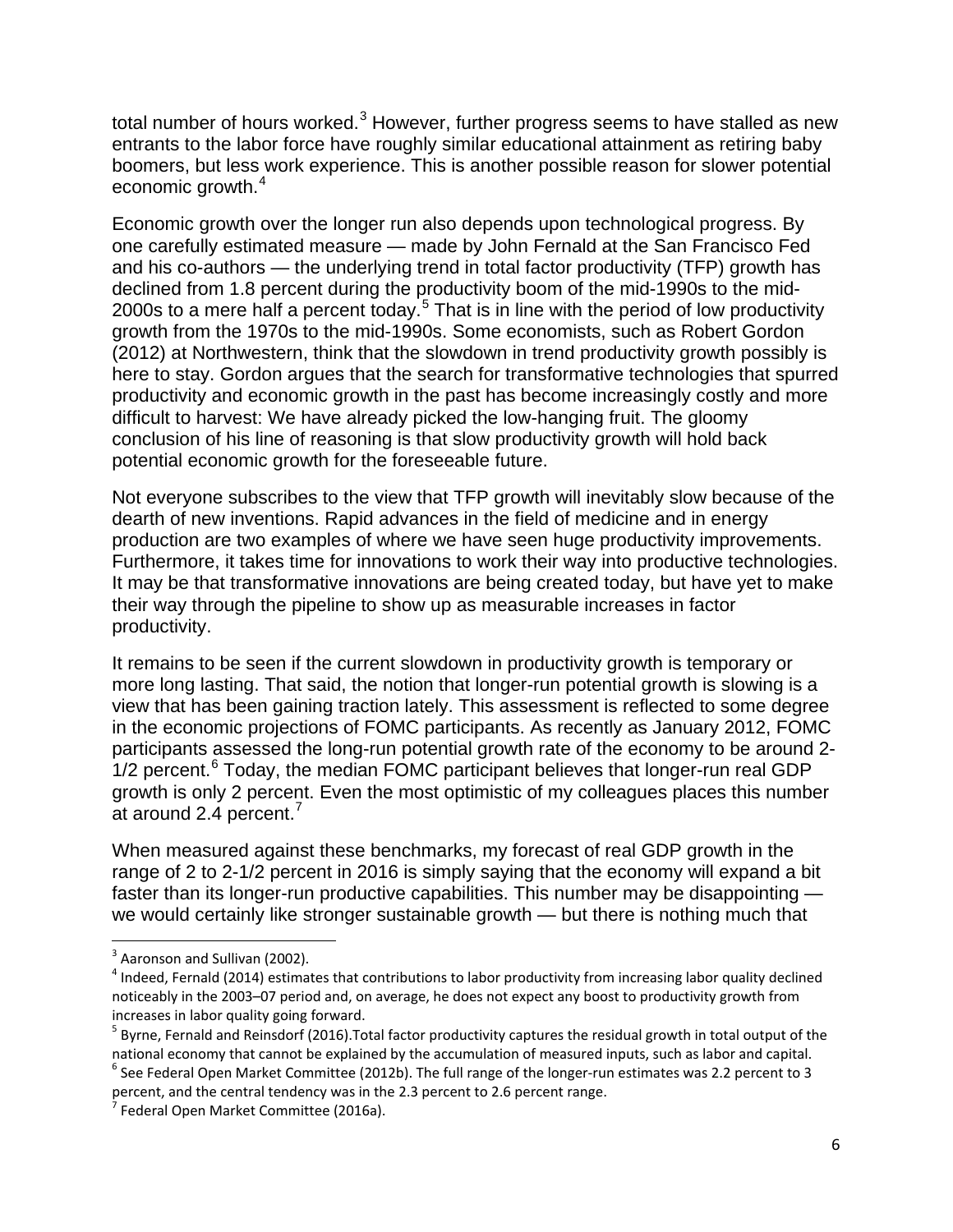total number of hours worked. $3$  However, further progress seems to have stalled as new entrants to the labor force have roughly similar educational attainment as retiring baby boomers, but less work experience. This is another possible reason for slower potential economic growth.<sup>[4](#page-5-1)</sup>

Economic growth over the longer run also depends upon technological progress. By one carefully estimated measure — made by John Fernald at the San Francisco Fed and his co-authors — the underlying trend in total factor productivity (TFP) growth has declined from 1.8 percent during the productivity boom of the mid-1990s to the mid-2000s to a mere half a percent today.<sup>[5](#page-5-2)</sup> That is in line with the period of low productivity growth from the 1970s to the mid-1990s. Some economists, such as Robert Gordon (2012) at Northwestern, think that the slowdown in trend productivity growth possibly is here to stay. Gordon argues that the search for transformative technologies that spurred productivity and economic growth in the past has become increasingly costly and more difficult to harvest: We have already picked the low-hanging fruit. The gloomy conclusion of his line of reasoning is that slow productivity growth will hold back potential economic growth for the foreseeable future.

Not everyone subscribes to the view that TFP growth will inevitably slow because of the dearth of new inventions. Rapid advances in the field of medicine and in energy production are two examples of where we have seen huge productivity improvements. Furthermore, it takes time for innovations to work their way into productive technologies. It may be that transformative innovations are being created today, but have yet to make their way through the pipeline to show up as measurable increases in factor productivity.

It remains to be seen if the current slowdown in productivity growth is temporary or more long lasting. That said, the notion that longer-run potential growth is slowing is a view that has been gaining traction lately. This assessment is reflected to some degree in the economic projections of FOMC participants. As recently as January 2012, FOMC participants assessed the long-run potential growth rate of the economy to be around 2-  $1/2$  percent.<sup>[6](#page-5-3)</sup> Today, the median FOMC participant believes that longer-run real GDP growth is only 2 percent. Even the most optimistic of my colleagues places this number at around 2.4 percent.<sup>[7](#page-5-4)</sup>

When measured against these benchmarks, my forecast of real GDP growth in the range of 2 to 2-1/2 percent in 2016 is simply saying that the economy will expand a bit faster than its longer-run productive capabilities. This number may be disappointing we would certainly like stronger sustainable growth — but there is nothing much that

<span id="page-5-4"></span><span id="page-5-3"></span>percent, and the central tendency was in the 2.3 percent to 2.6 percent range.<br><sup>7</sup> Federal Open Market Committee (2016a).

<span id="page-5-0"></span> $3$  Aaronson and Sullivan (2002).

<span id="page-5-1"></span><sup>&</sup>lt;sup>4</sup> Indeed, Fernald (2014) estimates that contributions to labor productivity from increasing labor quality declined noticeably in the 2003–07 period and, on average, he does not expect any boost to productivity growth from increases in labor quality going forward.

<span id="page-5-2"></span> $^5$  Byrne, Fernald and Reinsdorf (2016). Total factor productivity captures the residual growth in total output of the national economy that cannot be explained by the accumulation of measured inputs, such as labor and capital.<br><sup>6</sup> See Federal Open Market Committee (2012b). The full range of the longer-run estimates was 2.2 percent to 3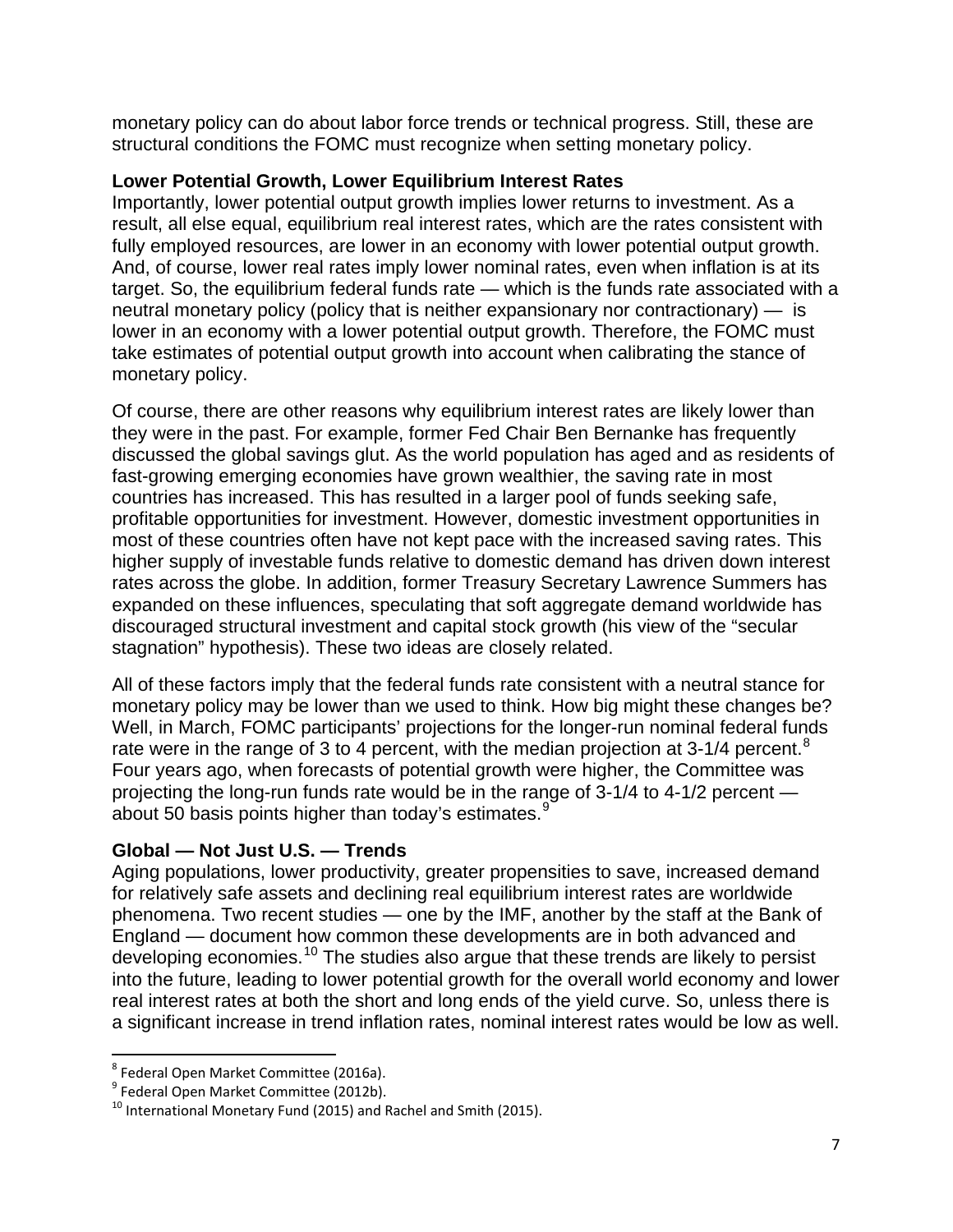monetary policy can do about labor force trends or technical progress. Still, these are structural conditions the FOMC must recognize when setting monetary policy.

#### **Lower Potential Growth, Lower Equilibrium Interest Rates**

Importantly, lower potential output growth implies lower returns to investment. As a result, all else equal, equilibrium real interest rates, which are the rates consistent with fully employed resources, are lower in an economy with lower potential output growth. And, of course, lower real rates imply lower nominal rates, even when inflation is at its target. So, the equilibrium federal funds rate — which is the funds rate associated with a neutral monetary policy (policy that is neither expansionary nor contractionary) — is lower in an economy with a lower potential output growth. Therefore, the FOMC must take estimates of potential output growth into account when calibrating the stance of monetary policy.

Of course, there are other reasons why equilibrium interest rates are likely lower than they were in the past. For example, former Fed Chair Ben Bernanke has frequently discussed the global savings glut. As the world population has aged and as residents of fast-growing emerging economies have grown wealthier, the saving rate in most countries has increased. This has resulted in a larger pool of funds seeking safe, profitable opportunities for investment. However, domestic investment opportunities in most of these countries often have not kept pace with the increased saving rates. This higher supply of investable funds relative to domestic demand has driven down interest rates across the globe. In addition, former Treasury Secretary Lawrence Summers has expanded on these influences, speculating that soft aggregate demand worldwide has discouraged structural investment and capital stock growth (his view of the "secular stagnation" hypothesis). These two ideas are closely related.

All of these factors imply that the federal funds rate consistent with a neutral stance for monetary policy may be lower than we used to think. How big might these changes be? Well, in March, FOMC participants' projections for the longer-run nominal federal funds rate were in the range of 3 to 4 percent, with the median projection at  $3\n-1/4$  percent.<sup>[8](#page-6-0)</sup> Four years ago, when forecasts of potential growth were higher, the Committee was projecting the long-run funds rate would be in the range of 3-1/4 to 4-1/2 percent — about 50 basis points higher than today's estimates.<sup>[9](#page-6-1)</sup>

#### **Global — Not Just U.S. — Trends**

Aging populations, lower productivity, greater propensities to save, increased demand for relatively safe assets and declining real equilibrium interest rates are worldwide phenomena. Two recent studies — one by the IMF, another by the staff at the Bank of England — document how common these developments are in both advanced and developing economies.<sup>[10](#page-6-2)</sup> The studies also argue that these trends are likely to persist into the future, leading to lower potential growth for the overall world economy and lower real interest rates at both the short and long ends of the yield curve. So, unless there is a significant increase in trend inflation rates, nominal interest rates would be low as well.

<span id="page-6-2"></span><span id="page-6-1"></span>

<span id="page-6-0"></span><sup>&</sup>lt;sup>8</sup> Federal Open Market Committee (2016a).<br><sup>9</sup> Federal Open Market Committee (2012b).<br><sup>10</sup> International Monetary Fund (2015) and Rachel and Smith (2015).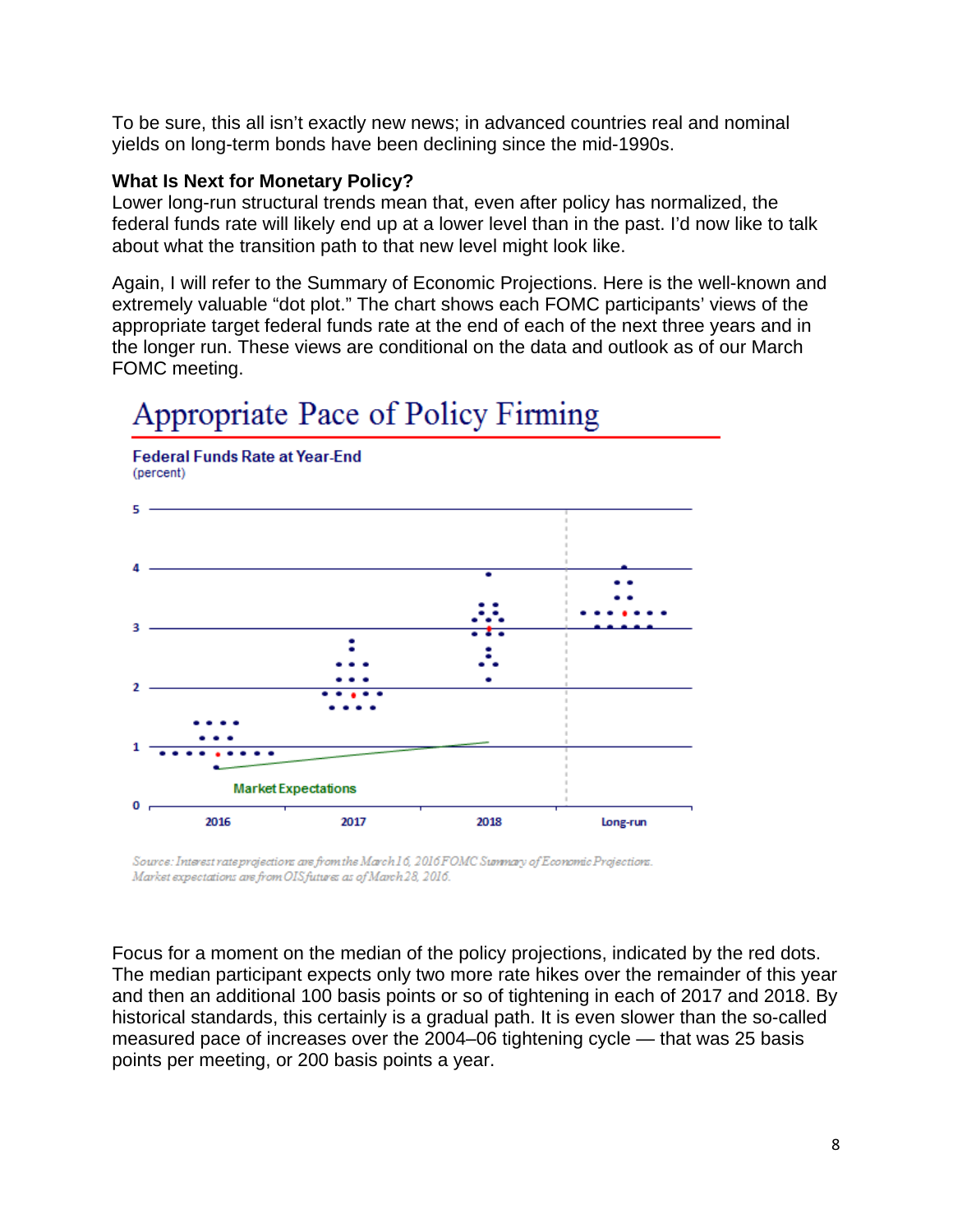To be sure, this all isn't exactly new news; in advanced countries real and nominal yields on long-term bonds have been declining since the mid-1990s.

#### **What Is Next for Monetary Policy?**

Lower long-run structural trends mean that, even after policy has normalized, the federal funds rate will likely end up at a lower level than in the past. I'd now like to talk about what the transition path to that new level might look like.

Again, I will refer to the Summary of Economic Projections. Here is the well-known and extremely valuable "dot plot." The chart shows each FOMC participants' views of the appropriate target federal funds rate at the end of each of the next three years and in the longer run. These views are conditional on the data and outlook as of our March FOMC meeting.



## Appropriate Pace of Policy Firming

Source: Interest rate projections are from the March 16, 2016 FOMC Summary of Economic Projections. Market expectations are from OIS futures as of March 28, 2016.

Focus for a moment on the median of the policy projections, indicated by the red dots. The median participant expects only two more rate hikes over the remainder of this year and then an additional 100 basis points or so of tightening in each of 2017 and 2018. By historical standards, this certainly is a gradual path. It is even slower than the so-called measured pace of increases over the 2004–06 tightening cycle — that was 25 basis points per meeting, or 200 basis points a year.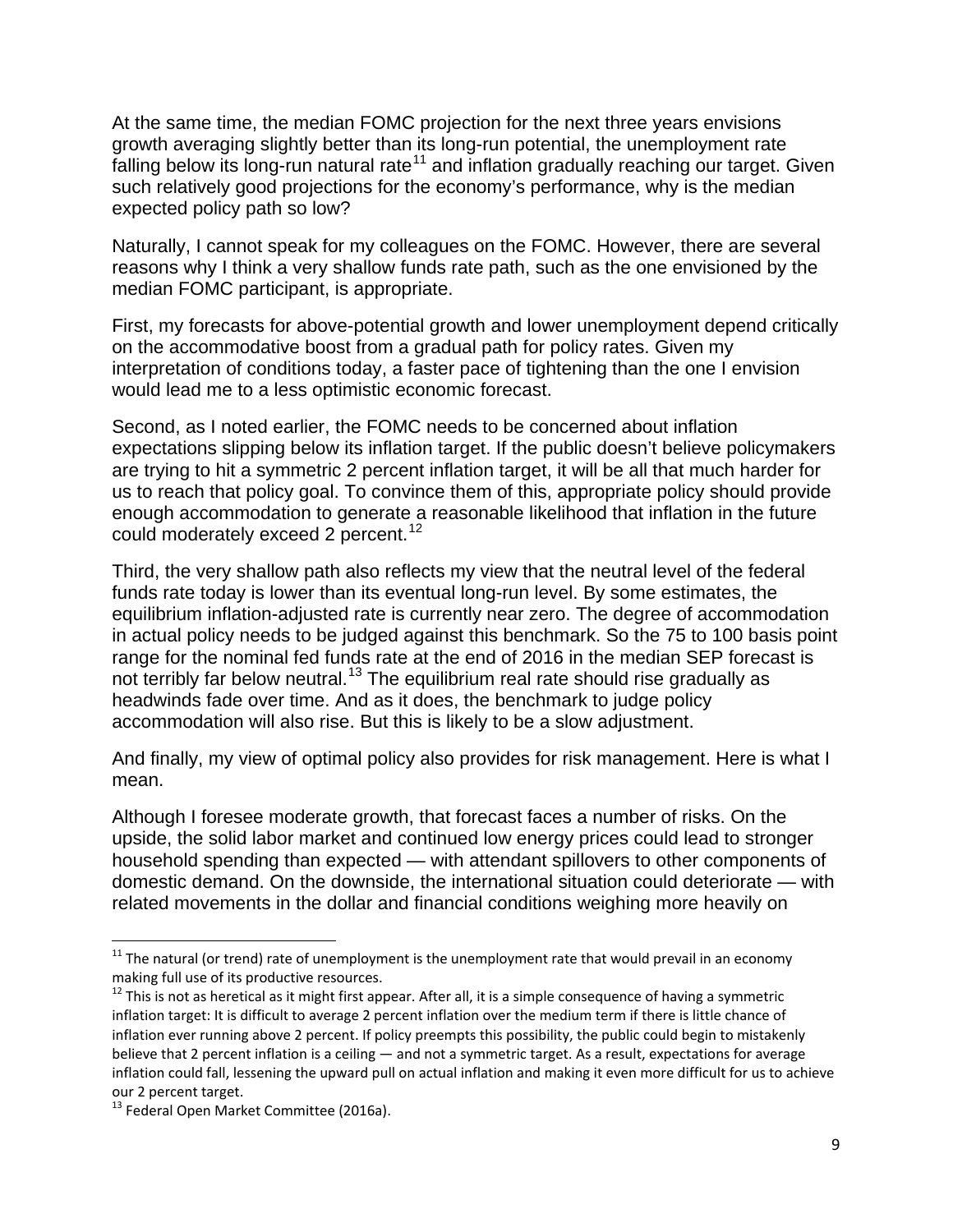At the same time, the median FOMC projection for the next three years envisions growth averaging slightly better than its long-run potential, the unemployment rate falling below its long-run natural rate<sup>[11](#page-8-0)</sup> and inflation gradually reaching our target. Given such relatively good projections for the economy's performance, why is the median expected policy path so low?

Naturally, I cannot speak for my colleagues on the FOMC. However, there are several reasons why I think a very shallow funds rate path, such as the one envisioned by the median FOMC participant, is appropriate.

First, my forecasts for above-potential growth and lower unemployment depend critically on the accommodative boost from a gradual path for policy rates. Given my interpretation of conditions today, a faster pace of tightening than the one I envision would lead me to a less optimistic economic forecast.

Second, as I noted earlier, the FOMC needs to be concerned about inflation expectations slipping below its inflation target. If the public doesn't believe policymakers are trying to hit a symmetric 2 percent inflation target, it will be all that much harder for us to reach that policy goal. To convince them of this, appropriate policy should provide enough accommodation to generate a reasonable likelihood that inflation in the future could moderately exceed 2 percent.<sup>[12](#page-8-1)</sup>

Third, the very shallow path also reflects my view that the neutral level of the federal funds rate today is lower than its eventual long-run level. By some estimates, the equilibrium inflation-adjusted rate is currently near zero. The degree of accommodation in actual policy needs to be judged against this benchmark. So the 75 to 100 basis point range for the nominal fed funds rate at the end of 2016 in the median SEP forecast is not terribly far below neutral.<sup>[13](#page-8-2)</sup> The equilibrium real rate should rise gradually as headwinds fade over time. And as it does, the benchmark to judge policy accommodation will also rise. But this is likely to be a slow adjustment.

And finally, my view of optimal policy also provides for risk management. Here is what I mean.

Although I foresee moderate growth, that forecast faces a number of risks. On the upside, the solid labor market and continued low energy prices could lead to stronger household spending than expected — with attendant spillovers to other components of domestic demand. On the downside, the international situation could deteriorate — with related movements in the dollar and financial conditions weighing more heavily on

<span id="page-8-0"></span> $11$  The natural (or trend) rate of unemployment is the unemployment rate that would prevail in an economy making full use of its productive resources.

<span id="page-8-1"></span> $12$  This is not as heretical as it might first appear. After all, it is a simple consequence of having a symmetric inflation target: It is difficult to average 2 percent inflation over the medium term if there is little chance of inflation ever running above 2 percent. If policy preempts this possibility, the public could begin to mistakenly believe that 2 percent inflation is a ceiling — and not a symmetric target. As a result, expectations for average inflation could fall, lessening the upward pull on actual inflation and making it even more difficult for us to achieve our 2 percent target.

<span id="page-8-2"></span><sup>&</sup>lt;sup>13</sup> Federal Open Market Committee (2016a).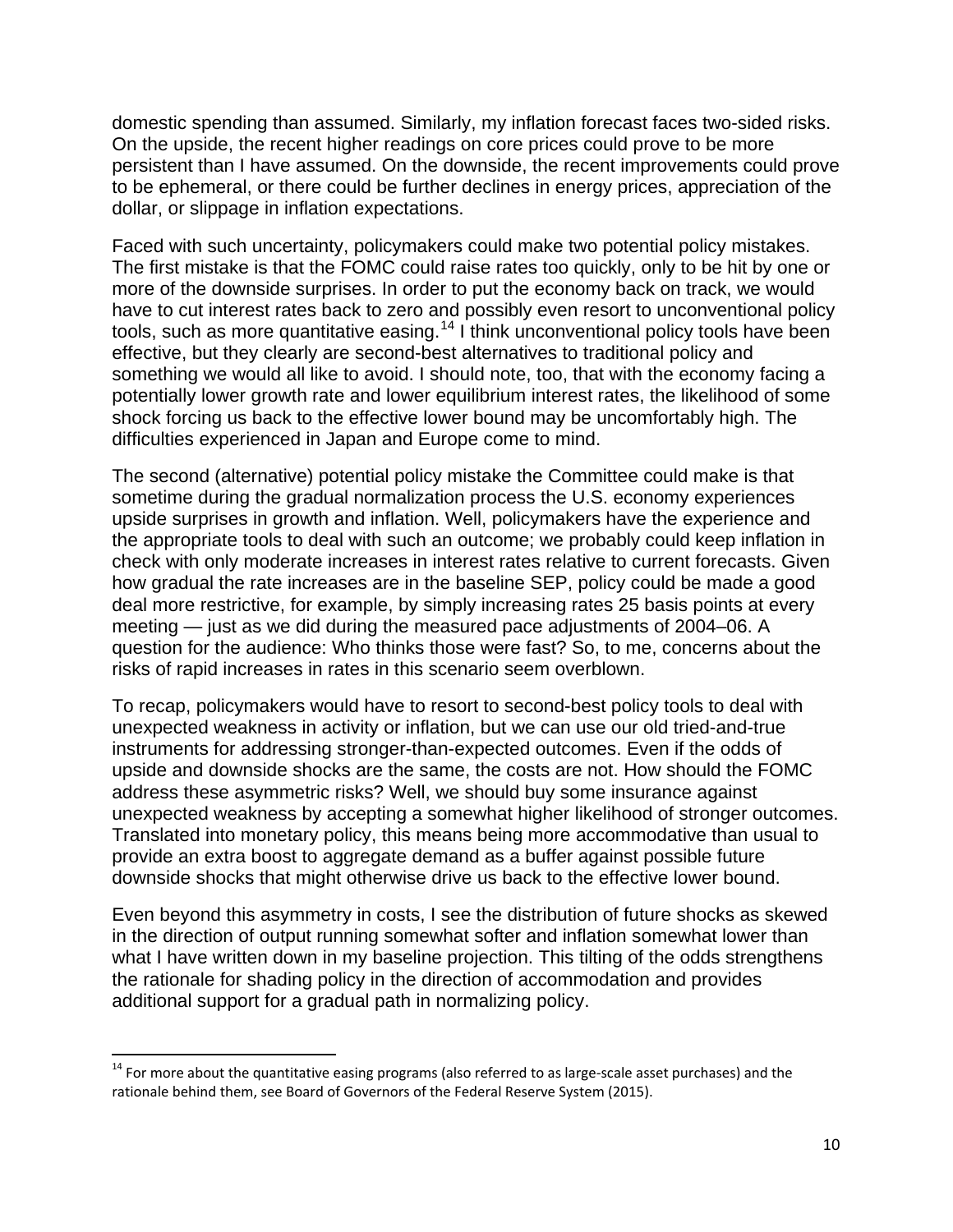domestic spending than assumed. Similarly, my inflation forecast faces two-sided risks. On the upside, the recent higher readings on core prices could prove to be more persistent than I have assumed. On the downside, the recent improvements could prove to be ephemeral, or there could be further declines in energy prices, appreciation of the dollar, or slippage in inflation expectations.

Faced with such uncertainty, policymakers could make two potential policy mistakes. The first mistake is that the FOMC could raise rates too quickly, only to be hit by one or more of the downside surprises. In order to put the economy back on track, we would have to cut interest rates back to zero and possibly even resort to unconventional policy tools, such as more quantitative easing.<sup>[14](#page-9-0)</sup> I think unconventional policy tools have been effective, but they clearly are second-best alternatives to traditional policy and something we would all like to avoid. I should note, too, that with the economy facing a potentially lower growth rate and lower equilibrium interest rates, the likelihood of some shock forcing us back to the effective lower bound may be uncomfortably high. The difficulties experienced in Japan and Europe come to mind.

The second (alternative) potential policy mistake the Committee could make is that sometime during the gradual normalization process the U.S. economy experiences upside surprises in growth and inflation. Well, policymakers have the experience and the appropriate tools to deal with such an outcome; we probably could keep inflation in check with only moderate increases in interest rates relative to current forecasts. Given how gradual the rate increases are in the baseline SEP, policy could be made a good deal more restrictive, for example, by simply increasing rates 25 basis points at every meeting — just as we did during the measured pace adjustments of 2004–06. A question for the audience: Who thinks those were fast? So, to me, concerns about the risks of rapid increases in rates in this scenario seem overblown.

To recap, policymakers would have to resort to second-best policy tools to deal with unexpected weakness in activity or inflation, but we can use our old tried-and-true instruments for addressing stronger-than-expected outcomes. Even if the odds of upside and downside shocks are the same, the costs are not. How should the FOMC address these asymmetric risks? Well, we should buy some insurance against unexpected weakness by accepting a somewhat higher likelihood of stronger outcomes. Translated into monetary policy, this means being more accommodative than usual to provide an extra boost to aggregate demand as a buffer against possible future downside shocks that might otherwise drive us back to the effective lower bound.

Even beyond this asymmetry in costs, I see the distribution of future shocks as skewed in the direction of output running somewhat softer and inflation somewhat lower than what I have written down in my baseline projection. This tilting of the odds strengthens the rationale for shading policy in the direction of accommodation and provides additional support for a gradual path in normalizing policy.

<span id="page-9-0"></span> $14$  For more about the quantitative easing programs (also referred to as large-scale asset purchases) and the rationale behind them, see Board of Governors of the Federal Reserve System (2015).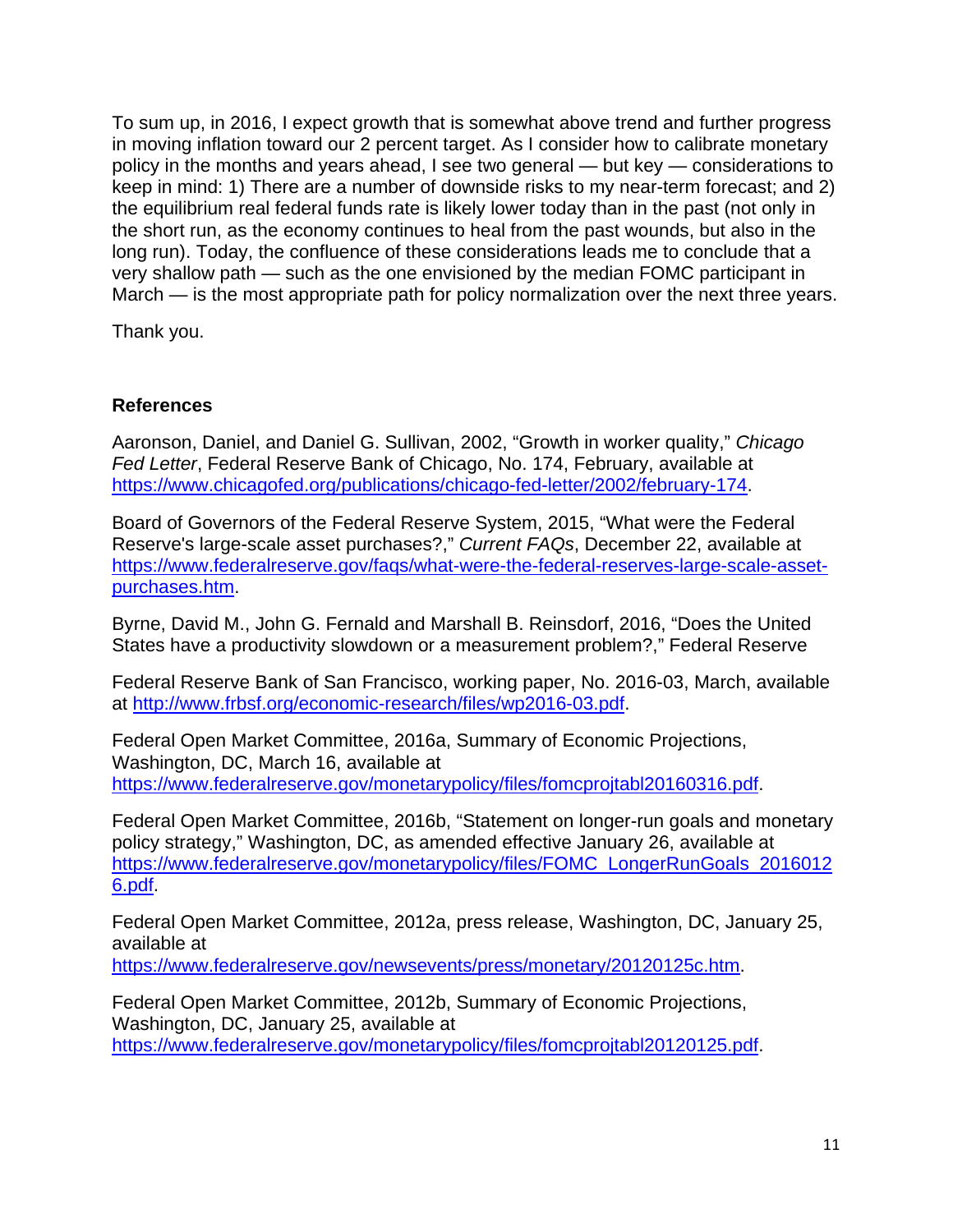To sum up, in 2016, I expect growth that is somewhat above trend and further progress in moving inflation toward our 2 percent target. As I consider how to calibrate monetary policy in the months and years ahead, I see two general — but key — considerations to keep in mind: 1) There are a number of downside risks to my near-term forecast; and 2) the equilibrium real federal funds rate is likely lower today than in the past (not only in the short run, as the economy continues to heal from the past wounds, but also in the long run). Today, the confluence of these considerations leads me to conclude that a very shallow path — such as the one envisioned by the median FOMC participant in March — is the most appropriate path for policy normalization over the next three years.

Thank you.

#### **References**

Aaronson, Daniel, and Daniel G. Sullivan, 2002, "Growth in worker quality," *Chicago Fed Letter*, Federal Reserve Bank of Chicago, No. 174, February, available at [https://www.chicagofed.org/publications/chicago-fed-letter/2002/february-174.](https://www.chicagofed.org/publications/chicago-fed-letter/2002/february-174)

Board of Governors of the Federal Reserve System, 2015, "What were the Federal Reserve's large-scale asset purchases?," *Current FAQs*, December 22, available at [https://www.federalreserve.gov/faqs/what-were-the-federal-reserves-large-scale-asset](https://www.federalreserve.gov/faqs/what-were-the-federal-reserves-large-scale-asset-purchases.htm)[purchases.htm.](https://www.federalreserve.gov/faqs/what-were-the-federal-reserves-large-scale-asset-purchases.htm)

Byrne, David M., John G. Fernald and Marshall B. Reinsdorf, 2016, "Does the United States have a productivity slowdown or a measurement problem?," Federal Reserve

Federal Reserve Bank of San Francisco, working paper, No. 2016-03, March, available at [http://www.frbsf.org/economic-research/files/wp2016-03.pdf.](http://www.frbsf.org/economic-research/files/wp2016-03.pdf)

Federal Open Market Committee, 2016a, Summary of Economic Projections, Washington, DC, March 16, available at [https://www.federalreserve.gov/monetarypolicy/files/fomcprojtabl20160316.pdf.](https://www.federalreserve.gov/monetarypolicy/files/fomcprojtabl20160316.pdf)

Federal Open Market Committee, 2016b, "Statement on longer-run goals and monetary policy strategy," Washington, DC, as amended effective January 26, available at [https://www.federalreserve.gov/monetarypolicy/files/FOMC\\_LongerRunGoals\\_2016012](https://www.federalreserve.gov/monetarypolicy/files/FOMC_LongerRunGoals_20160126.pdf) [6.pdf.](https://www.federalreserve.gov/monetarypolicy/files/FOMC_LongerRunGoals_20160126.pdf)

Federal Open Market Committee, 2012a, press release, Washington, DC, January 25, available at

[https://www.federalreserve.gov/newsevents/press/monetary/20120125c.htm.](https://www.federalreserve.gov/newsevents/press/monetary/20120125c.htm)

Federal Open Market Committee, 2012b, Summary of Economic Projections, Washington, DC, January 25, available at [https://www.federalreserve.gov/monetarypolicy/files/fomcprojtabl20120125.pdf.](https://www.federalreserve.gov/monetarypolicy/files/fomcprojtabl20120125.pdf)